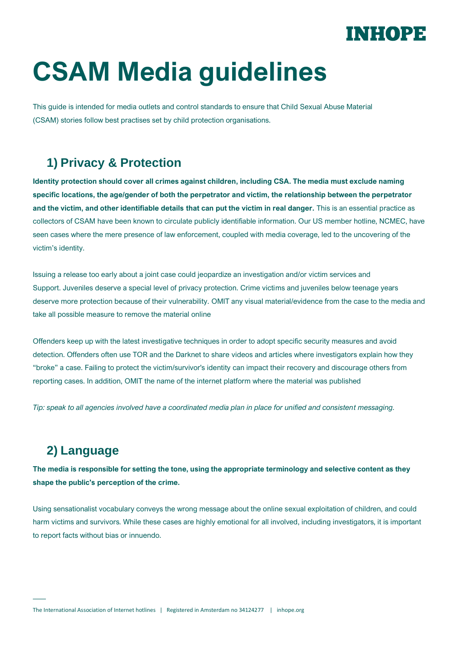## INHOPE

# **CSAM Media guidelines**

This guide is intended for media outlets and control standards to ensure that Child Sexual Abuse Material (CSAM) stories follow best practises set by child protection organisations.

### **1) Privacy & Protection**

**Identity protection should cover all crimes against children, including CSA. The media must exclude naming specific locations, the age/gender of both the perpetrator and victim, the relationship between the perpetrator and the victim, and other identifiable details that can put the victim in real danger.** This is an essential practice as collectors of CSAM have been known to circulate publicly identifiable information. Our US member hotline, NCMEC, have seen cases where the mere presence of law enforcement, coupled with media coverage, led to the uncovering of the victim's identity.

Issuing a release too early about a joint case could jeopardize an investigation and/or victim services and Support. Juveniles deserve a special level of privacy protection. Crime victims and juveniles below teenage years deserve more protection because of their vulnerability. OMIT any visual material/evidence from the case to the media and take all possible measure to remove the material online

Offenders keep up with the latest investigative techniques in order to adopt specific security measures and avoid detection. Offenders often use TOR and the Darknet to share videos and articles where investigators explain how they "broke" a case. Failing to protect the victim/survivor's identity can impact their recovery and discourage others from reporting cases. In addition, OMIT the name of the internet platform where the material was published

*Tip: speak to all agencies involved have a coordinated media plan in place for unified and consistent messaging.*

#### **2) Language**

**The media is responsible for setting the tone, using the appropriate terminology and selective content as they shape the public's perception of the crime.**

Using sensationalist vocabulary conveys the wrong message about the online sexual exploitation of children, and could harm victims and survivors. While these cases are highly emotional for all involved, including investigators, it is important to report facts without bias or innuendo.